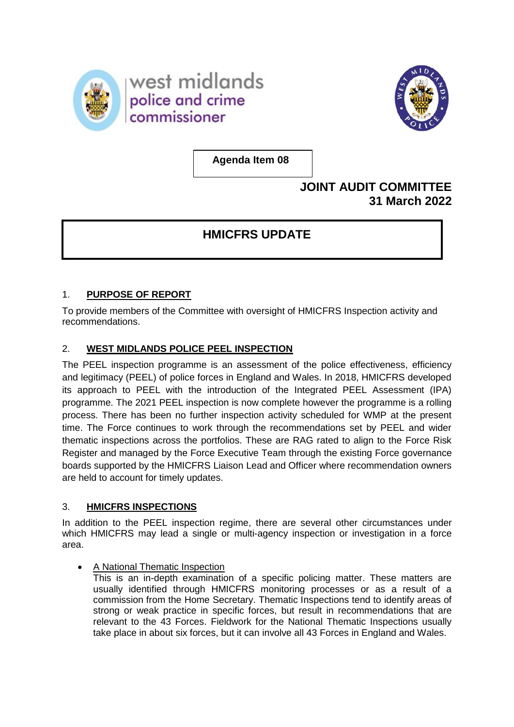



**Agenda Item 08**

# **JOINT AUDIT COMMITTEE 31 March 2022**

# **HMICFRS UPDATE**

# 1. **PURPOSE OF REPORT**

To provide members of the Committee with oversight of HMICFRS Inspection activity and recommendations.

# 2. **WEST MIDLANDS POLICE PEEL INSPECTION**

The PEEL inspection programme is an assessment of the police effectiveness, efficiency and legitimacy (PEEL) of police forces in England and Wales. In 2018, HMICFRS developed its approach to PEEL with the introduction of the Integrated PEEL Assessment (IPA) programme. The 2021 PEEL inspection is now complete however the programme is a rolling process. There has been no further inspection activity scheduled for WMP at the present time. The Force continues to work through the recommendations set by PEEL and wider thematic inspections across the portfolios. These are RAG rated to align to the Force Risk Register and managed by the Force Executive Team through the existing Force governance boards supported by the HMICFRS Liaison Lead and Officer where recommendation owners are held to account for timely updates.

# 3. **HMICFRS INSPECTIONS**

In addition to the PEEL inspection regime, there are several other circumstances under which HMICFRS may lead a single or multi-agency inspection or investigation in a force area.

• A National Thematic Inspection

This is an in-depth examination of a specific policing matter. These matters are usually identified through HMICFRS monitoring processes or as a result of a commission from the Home Secretary. Thematic Inspections tend to identify areas of strong or weak practice in specific forces, but result in recommendations that are relevant to the 43 Forces. Fieldwork for the National Thematic Inspections usually take place in about six forces, but it can involve all 43 Forces in England and Wales.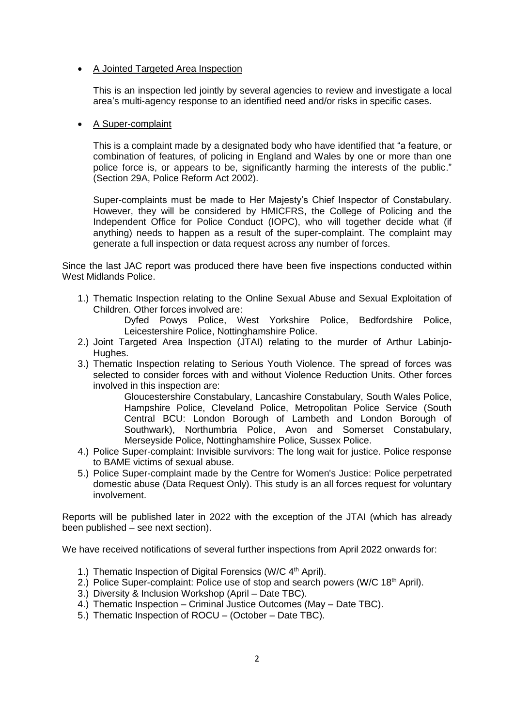### • A Jointed Targeted Area Inspection

This is an inspection led jointly by several agencies to review and investigate a local area's multi-agency response to an identified need and/or risks in specific cases.

### • A Super-complaint

This is a complaint made by a designated body who have identified that "a feature, or combination of features, of policing in England and Wales by one or more than one police force is, or appears to be, significantly harming the interests of the public." (Section 29A, Police Reform Act 2002).

Super-complaints must be made to Her Majesty's Chief Inspector of Constabulary. However, they will be considered by HMICFRS, the College of Policing and the Independent Office for Police Conduct (IOPC), who will together decide what (if anything) needs to happen as a result of the super-complaint. The complaint may generate a full inspection or data request across any number of forces.

Since the last JAC report was produced there have been five inspections conducted within West Midlands Police.

1.) Thematic Inspection relating to the Online Sexual Abuse and Sexual Exploitation of Children. Other forces involved are:

Dyfed Powys Police, West Yorkshire Police, Bedfordshire Police, Leicestershire Police, Nottinghamshire Police.

- 2.) Joint Targeted Area Inspection (JTAI) relating to the murder of Arthur Labinjo-Hughes.
- 3.) Thematic Inspection relating to Serious Youth Violence. The spread of forces was selected to consider forces with and without Violence Reduction Units. Other forces involved in this inspection are:

Gloucestershire Constabulary, Lancashire Constabulary, South Wales Police, Hampshire Police, Cleveland Police, Metropolitan Police Service (South Central BCU: London Borough of Lambeth and London Borough of Southwark), Northumbria Police, Avon and Somerset Constabulary, Merseyside Police, Nottinghamshire Police, Sussex Police.

- 4.) [Police Super-complaint: Invisible survivors: The long wait for justice. Police response](https://gbr01.safelinks.protection.outlook.com/?url=https%3A%2F%2Fwww.gov.uk%2Fgovernment%2Fpublications%2Fpolice-super-complaints-police-response-to-bame-victims-of-sexual-abuse&data=04%7C01%7Crachel.jonesburns%40westmidlands.police.uk%7C79c76fe37e2a4bef050208d9c4a39d9d%7C2b0f1af29e024cfb982fc61fd716ee98%7C0%7C0%7C637757029410027977%7CUnknown%7CTWFpbGZsb3d8eyJWIjoiMC4wLjAwMDAiLCJQIjoiV2luMzIiLCJBTiI6Ik1haWwiLCJXVCI6Mn0%3D%7C2000&sdata=a%2BYz11YZOKR4J1Xs%2Fmo%2FlIKsJTZXkD9qnWY3CHdxbmk%3D&reserved=0)  [to BAME victims of sexual abuse.](https://gbr01.safelinks.protection.outlook.com/?url=https%3A%2F%2Fwww.gov.uk%2Fgovernment%2Fpublications%2Fpolice-super-complaints-police-response-to-bame-victims-of-sexual-abuse&data=04%7C01%7Crachel.jonesburns%40westmidlands.police.uk%7C79c76fe37e2a4bef050208d9c4a39d9d%7C2b0f1af29e024cfb982fc61fd716ee98%7C0%7C0%7C637757029410027977%7CUnknown%7CTWFpbGZsb3d8eyJWIjoiMC4wLjAwMDAiLCJQIjoiV2luMzIiLCJBTiI6Ik1haWwiLCJXVCI6Mn0%3D%7C2000&sdata=a%2BYz11YZOKR4J1Xs%2Fmo%2FlIKsJTZXkD9qnWY3CHdxbmk%3D&reserved=0)
- 5.) Police Super-complaint made by the Centre for Women's Justice: Police perpetrated domestic abuse (Data Request Only). This study is an all forces request for voluntary involvement.

Reports will be published later in 2022 with the exception of the JTAI (which has already been published – see next section).

We have received notifications of several further inspections from April 2022 onwards for:

- 1.) Thematic Inspection of Digital Forensics (W/C  $4<sup>th</sup>$  April).
- 2.) Police Super-complaint: Police use of stop and search powers (W/C 18<sup>th</sup> April).
- 3.) Diversity & Inclusion Workshop (April Date TBC).
- 4.) Thematic Inspection Criminal Justice Outcomes (May Date TBC).
- 5.) Thematic Inspection of ROCU (October Date TBC).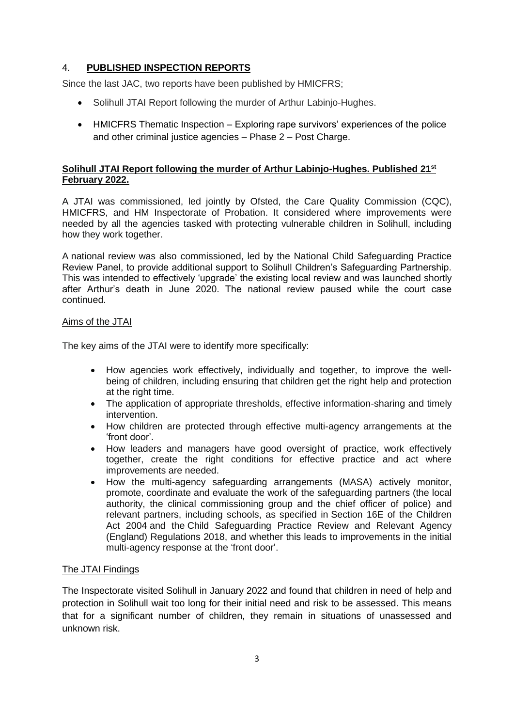# 4. **PUBLISHED INSPECTION REPORTS**

Since the last JAC, two reports have been published by HMICFRS;

- Solihull JTAI Report following the murder of Arthur Labinio-Hughes.
- HMICFRS Thematic Inspection Exploring rape survivors' experiences of the police and other criminal justice agencies – Phase 2 – Post Charge.

## **Solihull JTAI Report following the murder of Arthur Labinjo-Hughes. Published 21st February 2022.**

A JTAI was commissioned, led jointly by Ofsted, the Care Quality Commission (CQC), HMICFRS, and HM Inspectorate of Probation. It considered where improvements were needed by all the agencies tasked with protecting vulnerable children in Solihull, including how they work together.

A national review was also commissioned, led by the National Child Safeguarding Practice Review Panel, to provide additional support to Solihull Children's Safeguarding Partnership. This was intended to effectively 'upgrade' the existing local review and was launched shortly after Arthur's death in June 2020. The national review paused while the court case continued.

### Aims of the JTAI

The key aims of the JTAI were to identify more specifically:

- How agencies work effectively, individually and together, to improve the wellbeing of children, including ensuring that children get the right help and protection at the right time.
- The application of appropriate thresholds, effective information-sharing and timely intervention.
- How children are protected through effective multi-agency arrangements at the 'front door'.
- How leaders and managers have good oversight of practice, work effectively together, create the right conditions for effective practice and act where improvements are needed.
- How the multi-agency safeguarding arrangements (MASA) actively monitor, promote, coordinate and evaluate the work of the safeguarding partners (the local authority, the clinical commissioning group and the chief officer of police) and relevant partners, including schools, as specified in Section 16E of the Children Act 2004 and the Child Safeguarding Practice Review and Relevant Agency (England) Regulations 2018, and whether this leads to improvements in the initial multi-agency response at the 'front door'.

## The JTAI Findings

The Inspectorate visited Solihull in January 2022 and found that children in need of help and protection in Solihull wait too long for their initial need and risk to be assessed. This means that for a significant number of children, they remain in situations of unassessed and unknown risk.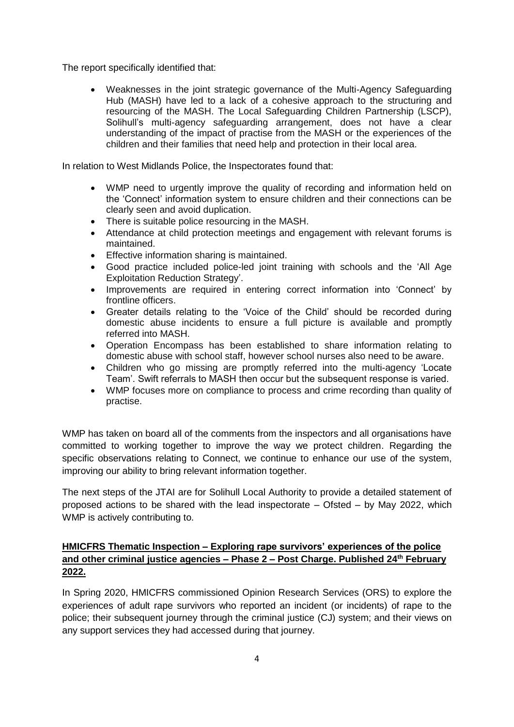The report specifically identified that:

• Weaknesses in the joint strategic governance of the Multi-Agency Safeguarding Hub (MASH) have led to a lack of a cohesive approach to the structuring and resourcing of the MASH. The Local Safeguarding Children Partnership (LSCP), Solihull's multi-agency safeguarding arrangement, does not have a clear understanding of the impact of practise from the MASH or the experiences of the children and their families that need help and protection in their local area.

In relation to West Midlands Police, the Inspectorates found that:

- WMP need to urgently improve the quality of recording and information held on the 'Connect' information system to ensure children and their connections can be clearly seen and avoid duplication.
- There is suitable police resourcing in the MASH.
- Attendance at child protection meetings and engagement with relevant forums is maintained.
- Effective information sharing is maintained.
- Good practice included police-led joint training with schools and the 'All Age Exploitation Reduction Strategy'.
- Improvements are required in entering correct information into 'Connect' by frontline officers.
- Greater details relating to the 'Voice of the Child' should be recorded during domestic abuse incidents to ensure a full picture is available and promptly referred into MASH.
- Operation Encompass has been established to share information relating to domestic abuse with school staff, however school nurses also need to be aware.
- Children who go missing are promptly referred into the multi-agency 'Locate Team'. Swift referrals to MASH then occur but the subsequent response is varied.
- WMP focuses more on compliance to process and crime recording than quality of practise.

WMP has taken on board all of the comments from the inspectors and all organisations have committed to working together to improve the way we protect children. Regarding the specific observations relating to Connect, we continue to enhance our use of the system, improving our ability to bring relevant information together.

The next steps of the JTAI are for Solihull Local Authority to provide a detailed statement of proposed actions to be shared with the lead inspectorate – Ofsted – by May 2022, which WMP is actively contributing to.

# **HMICFRS Thematic Inspection – Exploring rape survivors' experiences of the police and other criminal justice agencies – Phase 2 – Post Charge. Published 24th February 2022.**

In Spring 2020, HMICFRS commissioned Opinion Research Services (ORS) to explore the experiences of adult rape survivors who reported an incident (or incidents) of rape to the police; their subsequent journey through the criminal justice (CJ) system; and their views on any support services they had accessed during that journey.